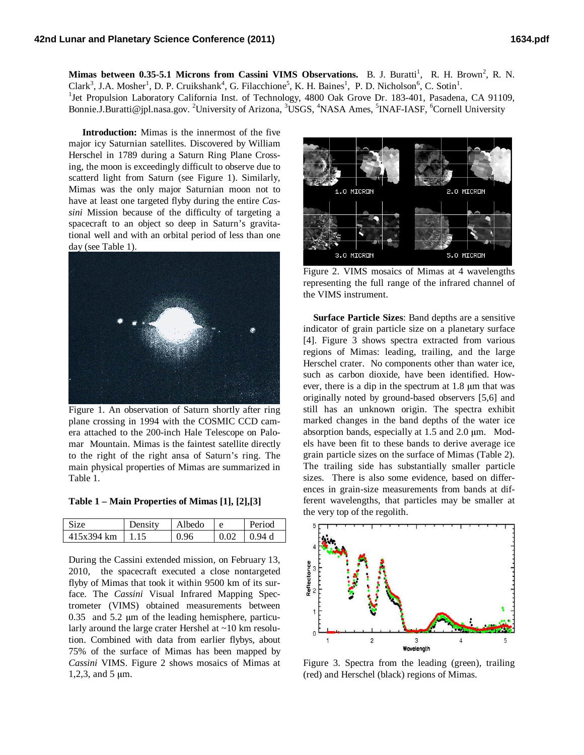**Mimas between 0.35-5.1 Microns from Cassini VIMS Observations.** B. J. Buratti<sup>1</sup>, R. H. Brown<sup>2</sup>, R. N. Clark<sup>3</sup>, J.A. Mosher<sup>1</sup>, D. P. Cruikshank<sup>4</sup>, G. Filacchione<sup>5</sup>, K. H. Baines<sup>1</sup>, P. D. Nicholson<sup>6</sup>, C. Sotin<sup>1</sup>. <sup>1</sup>Jet Propulsion Laboratory California Inst. of Technology, 4800 Oak Grove Dr. 183-401, Pasadena, CA 91109, Bonnie.J.Buratti@jpl.nasa.gov. <sup>2</sup>University of Arizona, <sup>3</sup>USGS, <sup>4</sup>NASA Ames, <sup>5</sup>INAF-IASF, <sup>6</sup>Cornell University

**Introduction:** Mimas is the innermost of the five major icy Saturnian satellites. Discovered by William Herschel in 1789 during a Saturn Ring Plane Crossing, the moon is exceedingly difficult to observe due to scatterd light from Saturn (see Figure 1). Similarly, Mimas was the only major Saturnian moon not to have at least one targeted flyby during the entire *Cassini* Mission because of the difficulty of targeting a spacecraft to an object so deep in Saturn's gravitational well and with an orbital period of less than one day (see Table 1).



Figure 1. An observation of Saturn shortly after ring plane crossing in 1994 with the COSMIC CCD camera attached to the 200-inch Hale Telescope on Palomar Mountain. Mimas is the faintest satellite directly to the right of the right ansa of Saturn's ring. The main physical properties of Mimas are summarized in Table 1.

**Table 1 – Main Properties of Mimas [1], [2],[3]** 

| <b>Size</b> | Density | Albedo | e    | <b>Period</b> |
|-------------|---------|--------|------|---------------|
| 415x394 km  | 1 1 5   | 0.96   | 0.02 | 0.94 d        |

During the Cassini extended mission, on February 13, 2010, the spacecraft executed a close nontargeted flyby of Mimas that took it within 9500 km of its surface. The *Cassini* Visual Infrared Mapping Spectrometer (VIMS) obtained measurements between  $0.35$  and  $5.2 \mu m$  of the leading hemisphere, particularly around the large crater Hershel at ~10 km resolution. Combined with data from earlier flybys, about 75% of the surface of Mimas has been mapped by *Cassini* VIMS. Figure 2 shows mosaics of Mimas at 1,2,3, and 5  $\mu$ m.



Figure 2. VIMS mosaics of Mimas at 4 wavelengths representing the full range of the infrared channel of the VIMS instrument.

 **Surface Particle Sizes**: Band depths are a sensitive indicator of grain particle size on a planetary surface [4]. Figure 3 shows spectra extracted from various regions of Mimas: leading, trailing, and the large Herschel crater. No components other than water ice, such as carbon dioxide, have been identified. However, there is a dip in the spectrum at 1.8 µm that was originally noted by ground-based observers [5,6] and still has an unknown origin. The spectra exhibit marked changes in the band depths of the water ice absorption bands, especially at 1.5 and 2.0 µm. Models have been fit to these bands to derive average ice grain particle sizes on the surface of Mimas (Table 2). The trailing side has substantially smaller particle sizes. There is also some evidence, based on differences in grain-size measurements from bands at different wavelengths, that particles may be smaller at the very top of the regolith.



Figure 3. Spectra from the leading (green), trailing (red) and Herschel (black) regions of Mimas.